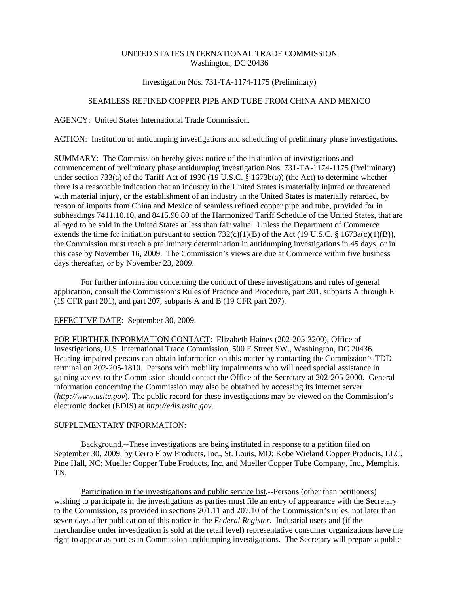## UNITED STATES INTERNATIONAL TRADE COMMISSION Washington, DC 20436

# Investigation Nos. 731-TA-1174-1175 (Preliminary)

## SEAMLESS REFINED COPPER PIPE AND TUBE FROM CHINA AND MEXICO

#### AGENCY: United States International Trade Commission.

ACTION: Institution of antidumping investigations and scheduling of preliminary phase investigations.

SUMMARY: The Commission hereby gives notice of the institution of investigations and commencement of preliminary phase antidumping investigation Nos. 731-TA-1174-1175 (Preliminary) under section 733(a) of the Tariff Act of 1930 (19 U.S.C. § 1673b(a)) (the Act) to determine whether there is a reasonable indication that an industry in the United States is materially injured or threatened with material injury, or the establishment of an industry in the United States is materially retarded, by reason of imports from China and Mexico of seamless refined copper pipe and tube, provided for in subheadings 7411.10.10, and 8415.90.80 of the Harmonized Tariff Schedule of the United States, that are alleged to be sold in the United States at less than fair value. Unless the Department of Commerce extends the time for initiation pursuant to section  $732(c)(1)(B)$  of the Act (19 U.S.C. § 1673a(c)(1)(B)), the Commission must reach a preliminary determination in antidumping investigations in 45 days, or in this case by November 16, 2009. The Commission's views are due at Commerce within five business days thereafter, or by November 23, 2009.

For further information concerning the conduct of these investigations and rules of general application, consult the Commission's Rules of Practice and Procedure, part 201, subparts A through E (19 CFR part 201), and part 207, subparts A and B (19 CFR part 207).

#### EFFECTIVE DATE: September 30, 2009.

FOR FURTHER INFORMATION CONTACT: Elizabeth Haines (202-205-3200), Office of Investigations, U.S. International Trade Commission, 500 E Street SW., Washington, DC 20436. Hearing-impaired persons can obtain information on this matter by contacting the Commission's TDD terminal on 202-205-1810. Persons with mobility impairments who will need special assistance in gaining access to the Commission should contact the Office of the Secretary at 202-205-2000. General information concerning the Commission may also be obtained by accessing its internet server (*http://www.usitc.gov*). The public record for these investigations may be viewed on the Commission's electronic docket (EDIS) at *http://edis.usitc.gov*.

### SUPPLEMENTARY INFORMATION:

Background.--These investigations are being instituted in response to a petition filed on September 30, 2009, by Cerro Flow Products, Inc., St. Louis, MO; Kobe Wieland Copper Products, LLC, Pine Hall, NC; Mueller Copper Tube Products, Inc. and Mueller Copper Tube Company, Inc., Memphis, TN.

Participation in the investigations and public service list.--Persons (other than petitioners) wishing to participate in the investigations as parties must file an entry of appearance with the Secretary to the Commission, as provided in sections 201.11 and 207.10 of the Commission's rules, not later than seven days after publication of this notice in the *Federal Register*. Industrial users and (if the merchandise under investigation is sold at the retail level) representative consumer organizations have the right to appear as parties in Commission antidumping investigations. The Secretary will prepare a public